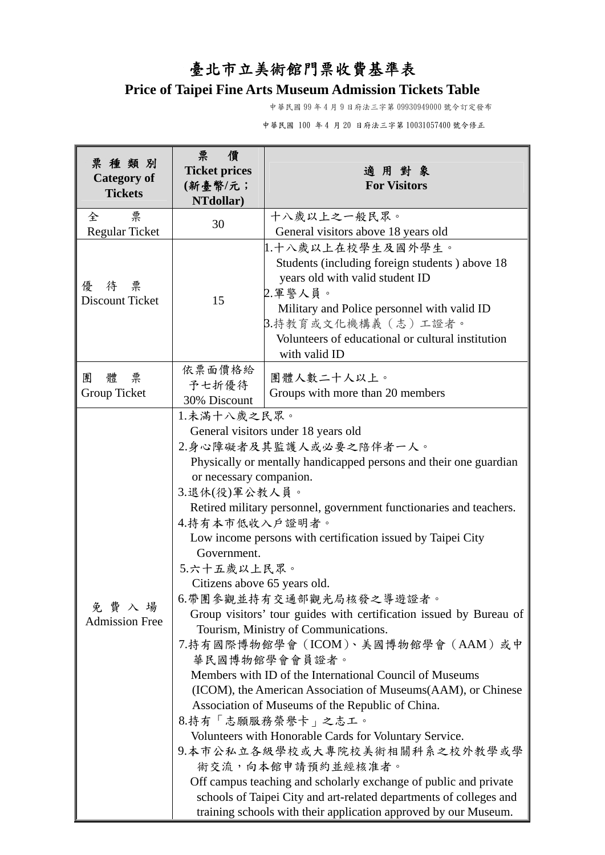## 臺北市立美術館門票收費基準表

## **Price of Taipei Fine Arts Museum Admission Tickets Table**

中華民國 99 年 4 月 9 日府法三字第 09930949000 號令訂定發布

中華民國 100 年 4 月 20 日府法三字第 10031057400 號令修正

| 票種類別<br><b>Category of</b><br><b>Tickets</b> | 票<br>僨<br><b>Ticket prices</b><br>(新臺幣/元;<br>NTdollar)                                                                                                                                                                                                                                                                                                                                                                                                                                                                                                                                                                                                                                                                                                                                                                                                                                                                                                                                                                                                                                                                                            | 適用對象<br><b>For Visitors</b>                                                                                                                                                                                                                                    |
|----------------------------------------------|---------------------------------------------------------------------------------------------------------------------------------------------------------------------------------------------------------------------------------------------------------------------------------------------------------------------------------------------------------------------------------------------------------------------------------------------------------------------------------------------------------------------------------------------------------------------------------------------------------------------------------------------------------------------------------------------------------------------------------------------------------------------------------------------------------------------------------------------------------------------------------------------------------------------------------------------------------------------------------------------------------------------------------------------------------------------------------------------------------------------------------------------------|----------------------------------------------------------------------------------------------------------------------------------------------------------------------------------------------------------------------------------------------------------------|
| 票<br>全<br><b>Regular Ticket</b>              | 30                                                                                                                                                                                                                                                                                                                                                                                                                                                                                                                                                                                                                                                                                                                                                                                                                                                                                                                                                                                                                                                                                                                                                | 十八歲以上之一般民眾。<br>General visitors above 18 years old                                                                                                                                                                                                             |
| 待 票<br>優<br>Discount Ticket                  | 15                                                                                                                                                                                                                                                                                                                                                                                                                                                                                                                                                                                                                                                                                                                                                                                                                                                                                                                                                                                                                                                                                                                                                | 1.十八歲以上在校學生及國外學生。<br>Students (including foreign students) above 18<br>years old with valid student ID<br>2.軍警人員。<br>Military and Police personnel with valid ID<br>3.持教育或文化機構義 (志) 工證者。<br>Volunteers of educational or cultural institution<br>with valid ID |
| 體<br>票<br>團<br>Group Ticket                  | 依票面價格給<br>予七折優待<br>30% Discount                                                                                                                                                                                                                                                                                                                                                                                                                                                                                                                                                                                                                                                                                                                                                                                                                                                                                                                                                                                                                                                                                                                   | 團體人數二十人以上。<br>Groups with more than 20 members                                                                                                                                                                                                                 |
| 免費入場<br><b>Admission Free</b>                | 1.未滿十八歲之民眾。<br>General visitors under 18 years old<br>2.身心障礙者及其監護人或必要之陪伴者一人。<br>Physically or mentally handicapped persons and their one guardian<br>or necessary companion.<br>3.退休(役)軍公教人員。<br>Retired military personnel, government functionaries and teachers.<br>4.持有本市低收入戶證明者。<br>Low income persons with certification issued by Taipei City<br>Government.<br>5.六十五歲以上民眾。<br>Citizens above 65 years old.<br>6.帶團參觀並持有交通部觀光局核發之導遊證者。<br>Group visitors' tour guides with certification issued by Bureau of<br>Tourism, Ministry of Communications.<br>7.持有國際博物館學會(ICOM)、美國博物館學會(AAM)或中<br>華民國博物館學會會員證者。<br>Members with ID of the International Council of Museums<br>(ICOM), the American Association of Museums(AAM), or Chinese<br>Association of Museums of the Republic of China.<br>8.持有「志願服務榮譽卡」之志工。<br>Volunteers with Honorable Cards for Voluntary Service.<br>9.本市公私立各級學校或大專院校美術相關科系之校外教學或學<br>術交流,向本館申請預約並經核准者。<br>Off campus teaching and scholarly exchange of public and private<br>schools of Taipei City and art-related departments of colleges and<br>training schools with their application approved by our Museum. |                                                                                                                                                                                                                                                                |